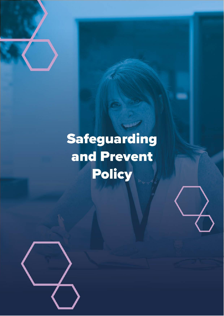

# Safeguarding and Prevent Policy

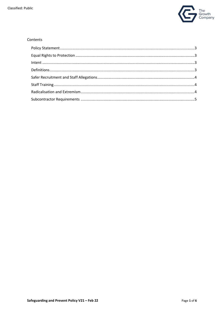

#### Contents

| $\label{eq:inter} \textit{Internet} \textit{} \textit{} \textit{} \textit{} \textit{} \textit{} \textit{} \textit{} \textit{} \textit{} \textit{} \textit{} \textit{} \textit{} \textit{} \textit{} \textit{} \textit{} \textit{} \textit{} \textit{} \textit{} \textit{} \textit{} \textit{} \textit{} \textit{} \textit{} \textit{} \textit{} \textit{} \textit{} \textit{} \textit{} \textit$ |  |
|--------------------------------------------------------------------------------------------------------------------------------------------------------------------------------------------------------------------------------------------------------------------------------------------------------------------------------------------------------------------------------------------------|--|
|                                                                                                                                                                                                                                                                                                                                                                                                  |  |
|                                                                                                                                                                                                                                                                                                                                                                                                  |  |
|                                                                                                                                                                                                                                                                                                                                                                                                  |  |
|                                                                                                                                                                                                                                                                                                                                                                                                  |  |
|                                                                                                                                                                                                                                                                                                                                                                                                  |  |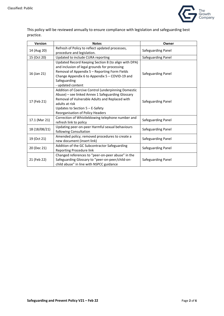

This policy will be reviewed annually to ensure compliance with legislation and safeguarding best practice.

| <b>Version</b> | <b>Notes</b>                                                                                                                                                                                                                                           | Owner              |
|----------------|--------------------------------------------------------------------------------------------------------------------------------------------------------------------------------------------------------------------------------------------------------|--------------------|
| 14 (Aug 20)    | Refresh of Policy to reflect updated processes,<br>procedure and legislation.                                                                                                                                                                          | Safeguarding Panel |
| 15 (Oct 20)    | Updated to include CURA reporting                                                                                                                                                                                                                      | Safeguarding Panel |
| 16 (Jan 21)    | Updated Record Keeping Section 8 (to align with DPA)<br>and inclusion of legal grounds for processing<br>Removal of Appendix 5 - Reporting Form Fields<br>Change Appendix 6 to Appendix 5 - COVID-19 and<br>Safeguarding<br>- updated content          | Safeguarding Panel |
| 17 (Feb 21)    | Addition of Coercive Control (underpinning Domestic<br>Abuse) - see linked Annex 1 Safeguarding Glossary<br>Removal of Vulnerable Adults and Replaced with<br>adults at risk<br>Updates to Section $5 - E$ -Safety<br>Reorganisation of Policy Headers | Safeguarding Panel |
| 17.1 (Mar 21)  | Correction of Whistleblowing telephone number and<br>refresh link to policy                                                                                                                                                                            | Safeguarding Panel |
| 18 (18/08/21)  | Updating peer-on-peer Harmful sexual behaviours<br>following Consultation                                                                                                                                                                              | Safeguarding Panel |
| 19 (Oct 21)    | Amended policy; removed procedures to create a<br>new document (insert link)                                                                                                                                                                           | Safeguarding Panel |
| 20 (Dec 21)    | Addition of the GC Subcontractor Safeguarding<br>Reporting Procedure link                                                                                                                                                                              | Safeguarding Panel |
| 21 (Feb 22)    | Changed references to "peer-on-peer abuse" in the<br>Safeguarding Glossary to "peer-on-peer/child-on-<br>child abuse" in line with NSPCC guidance                                                                                                      | Safeguarding Panel |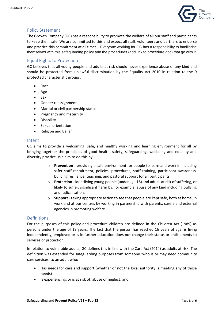

### <span id="page-3-0"></span>Policy Statement

The Growth Company (GC) has a responsibility to promote the welfare of all our staff and participants to keep them safe. We are committed to this and expect all staff, volunteers and partners to endorse and practice this commitment at all times. Everyone working for GC has a responsibility to familiarise themselves with this safeguarding policy and the procedures (add link to procedure doc) that go with it.

# <span id="page-3-1"></span>Equal Rights to Protection

GC believes that all young people and adults at risk should never experience abuse of any kind and should be protected from unlawful discrimination by the Equality Act 2010 in relation to the 9 protected characteristic groups:

- Race
- Age
- Sex
- Gender reassignment
- Marital or civil partnership status
- Pregnancy and maternity
- Disability
- Sexual orientation
- Religion and Belief

#### <span id="page-3-2"></span>Intent

GC aims to provide a welcoming, safe, and healthy working and learning environment for all by bringing together the principles of good health, safety, safeguarding, wellbeing and equality and diversity practice. We aim to do this by:

- o **Prevention**  providing a safe environment for people to learn and work in including safer staff recruitment, policies, procedures, staff training, participant awareness, building resilience, teaching, and pastoral support for all participants.
- o **Protection**  identifying young people (under age 18) and adults at risk of suffering, or likely to suffer, significant harm by, for example, abuse of any kind including bullying and radicalisation.
- o **Support** taking appropriate action to see that people are kept safe, both at home, in work and at our centres by working in partnership with parents, carers and external agencies in promoting welfare.

#### <span id="page-3-3"></span>Definitions

For the purposes of this policy and procedure children are defined in the Children Act (1989) as persons under the age of 18 years. The fact that the person has reached 16 years of age, is living independently, employed or is in further education does not change their status or entitlements to services or protection.

In relation to vulnerable adults, GC defines this in line with the Care Act (2014) as adults at risk. The definition was extended for safeguarding purposes from someone 'who is or may need community care services' to an adult who:

- Has needs for care and support (whether or not the local authority is meeting any of those needs)
- Is experiencing, or is at risk of, abuse or neglect; and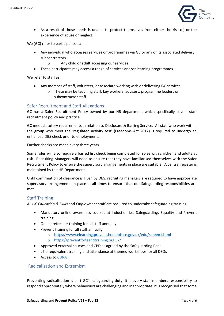

• As a result of those needs is unable to protect themselves from either the risk of, or the experience of abuse or neglect.

We (GC) refer to participants as:

- Any individual who accesses services or programmes via GC or any of its associated delivery subcontractors.
	- o Any child or adult accessing our services.
- These participants may access a range of services and/or learning programmes.

We refer to staff as:

- Any member of staff, volunteer, or associate working with or delivering GC services.
	- o These may be teaching staff, key workers, advisers, programme leaders or subcontractor staff.

#### <span id="page-4-0"></span>Safer Recruitment and Staff Allegations

GC has a Safer Recruitment Policy owned by our HR department which specifically covers staff recruitment policy and practice.

GC meet statutory requirements in relation to Disclosure & Barring Service. All staff who work within the group who meet the 'regulated activity test' (Freedoms Act 2012) is required to undergo an enhanced DBS check prior to employment.

Further checks are made every three years.

Some roles will also require a barred list check being completed for roles with children and adults at risk. Recruiting Managers will need to ensure that they have familiarised themselves with the Safer Recruitment Policy to ensure the supervisory arrangements in place are suitable. A central register is maintained by the HR Department.

Until confirmation of clearance is given by DBS, recruiting managers are required to have appropriate supervisory arrangements in place at all times to ensure that our Safeguarding responsibilities are met.

#### <span id="page-4-1"></span>Staff Training

All *GC Education & Skills* and *Employment* staff are required to undertake safeguarding training;

- Mandatory online awareness courses at induction i.e. Safeguarding, Equality and Prevent training
- Online refresher training for all staff annually
- Prevent Training for all staff annually
	- o <https://www.elearning.prevent.homeoffice.gov.uk/edu/screen1.html>
	- o <https://preventforfeandtraining.org.uk/>
- Approved external courses and CPD as agreed by the Safeguarding Panel
- L2 or equivalent training and attendance at themed workshops for all DSOs
- Access to [CURA](https://cura.tascsoftware.co.uk/)

#### <span id="page-4-2"></span>Radicalisation and Extremism

Preventing radicalisation is part GC's safeguarding duty. It is every staff members responsibility to respond appropriately where behaviours are challenging and inappropriate. It is recognised that some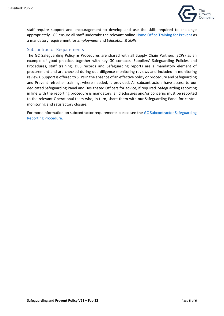

staff require support and encouragement to develop and use the skills required to challenge appropriately. GC ensure all staff undertake the relevant online [Home Office Training for Prevent](https://www.elearning.prevent.homeoffice.gov.uk/edu/screen1.html) as a mandatory requirement for *Employment* and *Education & Skills*.

## <span id="page-5-0"></span>Subcontractor Requirements

The GC Safeguarding Policy & Procedures are shared with all Supply Chain Partners (SCPs) as an example of good practice, together with key GC contacts. Suppliers' Safeguarding Policies and Procedures, staff training, DBS records and Safeguarding reports are a mandatory element of procurement and are checked during due diligence monitoring reviews and included in monitoring reviews. Support is offered to SCPs in the absence of an effective policy or procedure and Safeguarding and Prevent refresher training, where needed, is provided. All subcontractors have access to our dedicated Safeguarding Panel and Designated Officers for advice, if required. Safeguarding reporting in line with the reporting procedure is mandatory; all disclosures and/or concerns must be reported to the relevant Operational team who, in turn, share them with our Safeguarding Panel for central monitoring and satisfactory closure.

For more information on subcontractor requirements please see the GC Subcontractor Safeguarding [Reporting Procedure.](https://manchestergrowthcouk.sharepoint.com/sites/Group%20Shared/Shared%20Documents/Safeguarding/Group%20Safeguarding/Policies/Subcontractors%20Safeguarding%20Reporting%20Procedure%202021%20.pdf)